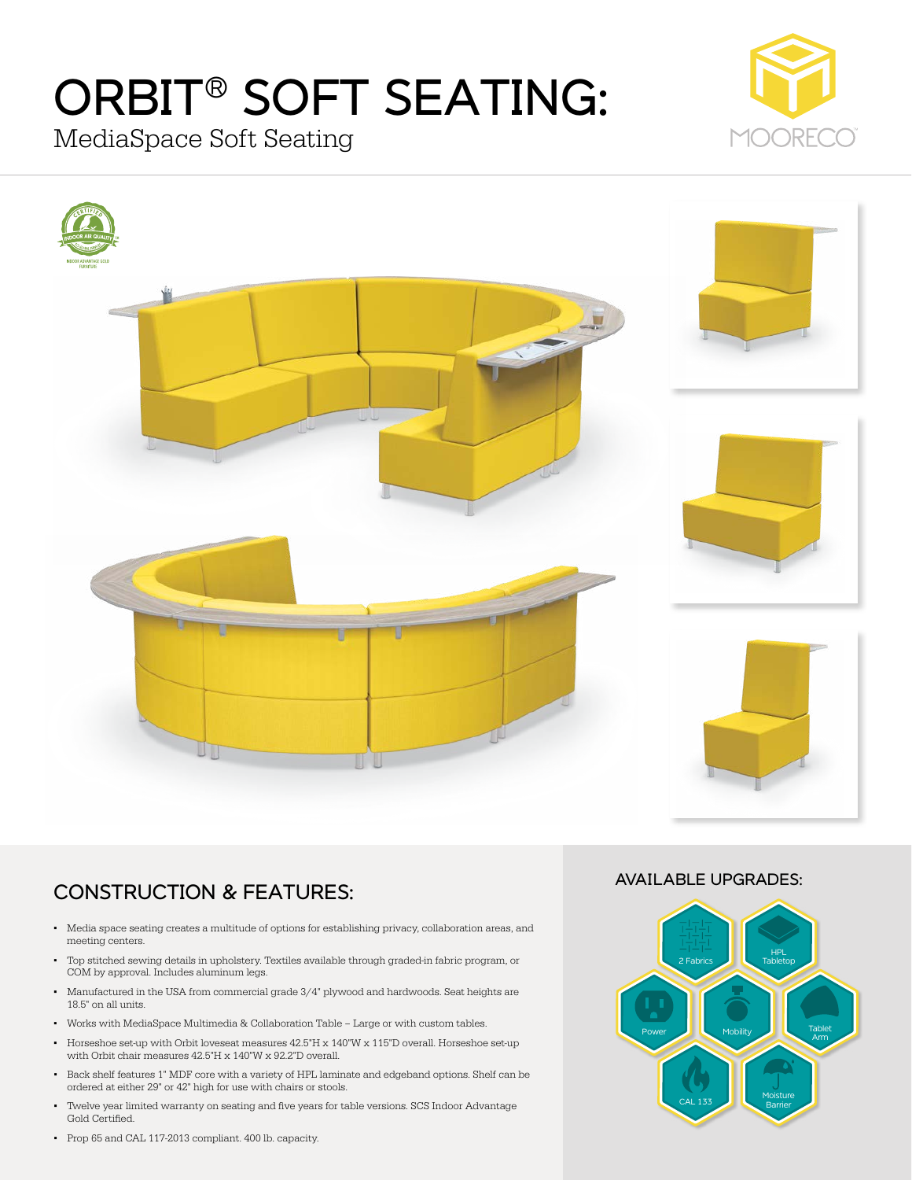# ORBIT® SOFT SEATING:

MediaSpace Soft Seating





# CONSTRUCTION & FEATURES:

- Media space seating creates a multitude of options for establishing privacy, collaboration areas, and meeting centers.
- Top stitched sewing details in upholstery. Textiles available through graded-in fabric program, or COM by approval. Includes aluminum legs.
- Manufactured in the USA from commercial grade 3/4" plywood and hardwoods. Seat heights are 18.5" on all units.
- Works with MediaSpace Multimedia & Collaboration Table Large or with custom tables.
- Horseshoe set-up with Orbit loveseat measures 42.5"H x 140"W x 115"D overall. Horseshoe set-up with Orbit chair measures 42.5"H x 140"W x 92.2"D overall.
- Back shelf features 1" MDF core with a variety of HPL laminate and edgeband options. Shelf can be ordered at either 29" or 42" high for use with chairs or stools.
- Twelve year limited warranty on seating and five years for table versions. SCS Indoor Advantage Gold Certified.
- Prop 65 and CAL 117-2013 compliant. 400 lb. capacity.

### AVAILABLE UPGRADES: